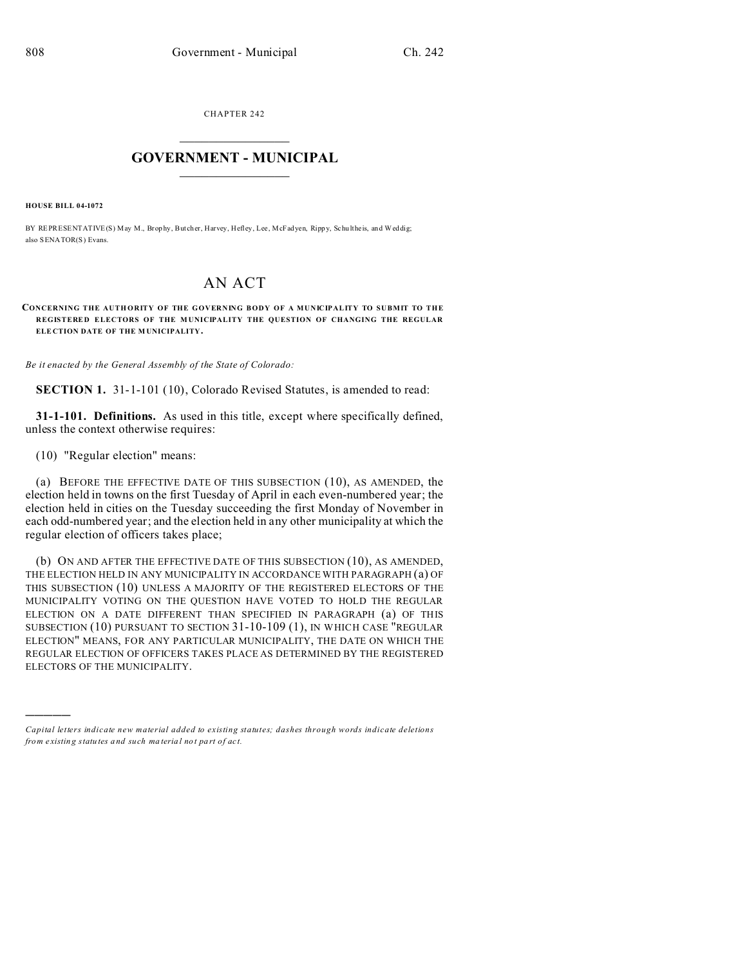CHAPTER 242  $\overline{\phantom{a}}$  , where  $\overline{\phantom{a}}$ 

## **GOVERNMENT - MUNICIPAL**  $\_$   $\_$

**HOUSE BILL 04-1072**

)))))

BY REPRESENTATIVE(S) May M., Brophy, Butcher, Harvey, Hefley, Lee, McFadyen, Rippy, Schu lthe is, and Weddig; also SENATOR(S) Evans.

## AN ACT

CONCERNING THE AUTHORITY OF THE GOVERNING BODY OF A MUNICIPALITY TO SUBMIT TO THE **REGISTERE D ELECTORS OF THE M UNICIPALITY THE QUESTION OF CHANGING THE REGULAR ELE CTION DATE OF THE M UNICIPALITY.**

*Be it enacted by the General Assembly of the State of Colorado:*

**SECTION 1.** 31-1-101 (10), Colorado Revised Statutes, is amended to read:

**31-1-101. Definitions.** As used in this title, except where specifically defined, unless the context otherwise requires:

(10) "Regular election" means:

(a) BEFORE THE EFFECTIVE DATE OF THIS SUBSECTION (10), AS AMENDED, the election held in towns on the first Tuesday of April in each even-numbered year; the election held in cities on the Tuesday succeeding the first Monday of November in each odd-numbered year; and the election held in any other municipality at which the regular election of officers takes place;

(b) ON AND AFTER THE EFFECTIVE DATE OF THIS SUBSECTION (10), AS AMENDED, THE ELECTION HELD IN ANY MUNICIPALITY IN ACCORDANCE WITH PARAGRAPH (a) OF THIS SUBSECTION (10) UNLESS A MAJORITY OF THE REGISTERED ELECTORS OF THE MUNICIPALITY VOTING ON THE QUESTION HAVE VOTED TO HOLD THE REGULAR ELECTION ON A DATE DIFFERENT THAN SPECIFIED IN PARAGRAPH (a) OF THIS SUBSECTION (10) PURSUANT TO SECTION 31-10-109 (1), IN WHICH CASE "REGULAR ELECTION" MEANS, FOR ANY PARTICULAR MUNICIPALITY, THE DATE ON WHICH THE REGULAR ELECTION OF OFFICERS TAKES PLACE AS DETERMINED BY THE REGISTERED ELECTORS OF THE MUNICIPALITY.

*Capital letters indicate new material added to existing statutes; dashes through words indicate deletions from e xistin g statu tes a nd such ma teria l no t pa rt of ac t.*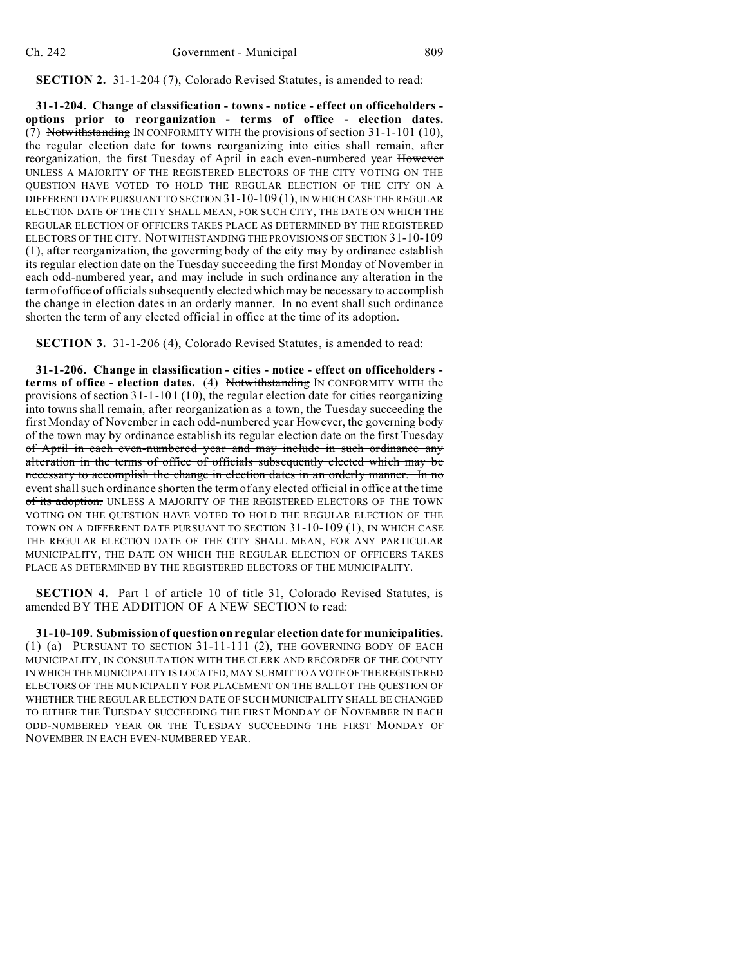**SECTION 2.** 31-1-204 (7), Colorado Revised Statutes, is amended to read:

**31-1-204. Change of classification - towns - notice - effect on officeholders options prior to reorganization - terms of office - election dates.** (7) Notwithstanding IN CONFORMITY WITH the provisions of section 31-1-101 (10), the regular election date for towns reorganizing into cities shall remain, after reorganization, the first Tuesday of April in each even-numbered year However UNLESS A MAJORITY OF THE REGISTERED ELECTORS OF THE CITY VOTING ON THE QUESTION HAVE VOTED TO HOLD THE REGULAR ELECTION OF THE CITY ON A DIFFERENT DATE PURSUANT TO SECTION 31-10-109 (1), IN WHICH CASE THE REGULAR ELECTION DATE OF THE CITY SHALL MEAN, FOR SUCH CITY, THE DATE ON WHICH THE REGULAR ELECTION OF OFFICERS TAKES PLACE AS DETERMINED BY THE REGISTERED ELECTORS OF THE CITY. NOTWITHSTANDING THE PROVISIONS OF SECTION 31-10-109 (1), after reorganization, the governing body of the city may by ordinance establish its regular election date on the Tuesday succeeding the first Monday of November in each odd-numbered year, and may include in such ordinance any alteration in the term of office of officials subsequently elected which may be necessary to accomplish the change in election dates in an orderly manner. In no event shall such ordinance shorten the term of any elected official in office at the time of its adoption.

**SECTION 3.** 31-1-206 (4), Colorado Revised Statutes, is amended to read:

**31-1-206. Change in classification - cities - notice - effect on officeholders terms of office - election dates.** (4) Notwithstanding IN CONFORMITY WITH the provisions of section 31-1-101 (10), the regular election date for cities reorganizing into towns shall remain, after reorganization as a town, the Tuesday succeeding the first Monday of November in each odd-numbered year However, the governing body of the town may by ordinance establish its regular election date on the first Tuesday of April in each even-numbered year and may include in such ordinance any alteration in the terms of office of officials subsequently elected which may be necessary to accomplish the change in election dates in an orderly manner. In no event shall such ordinance shorten the term of any elected official in office at the time of its adoption. UNLESS A MAJORITY OF THE REGISTERED ELECTORS OF THE TOWN VOTING ON THE QUESTION HAVE VOTED TO HOLD THE REGULAR ELECTION OF THE TOWN ON A DIFFERENT DATE PURSUANT TO SECTION 31-10-109 (1), IN WHICH CASE THE REGULAR ELECTION DATE OF THE CITY SHALL MEAN, FOR ANY PARTICULAR MUNICIPALITY, THE DATE ON WHICH THE REGULAR ELECTION OF OFFICERS TAKES PLACE AS DETERMINED BY THE REGISTERED ELECTORS OF THE MUNICIPALITY.

**SECTION 4.** Part 1 of article 10 of title 31, Colorado Revised Statutes, is amended BY THE ADDITION OF A NEW SECTION to read:

**31-10-109. Submission of question on regular election date for municipalities.** (1) (a) PURSUANT TO SECTION 31-11-111 (2), THE GOVERNING BODY OF EACH MUNICIPALITY, IN CONSULTATION WITH THE CLERK AND RECORDER OF THE COUNTY IN WHICH THE MUNICIPALITY IS LOCATED, MAY SUBMIT TO A VOTE OF THE REGISTERED ELECTORS OF THE MUNICIPALITY FOR PLACEMENT ON THE BALLOT THE QUESTION OF WHETHER THE REGULAR ELECTION DATE OF SUCH MUNICIPALITY SHALL BE CHANGED TO EITHER THE TUESDAY SUCCEEDING THE FIRST MONDAY OF NOVEMBER IN EACH ODD-NUMBERED YEAR OR THE TUESDAY SUCCEEDING THE FIRST MONDAY OF NOVEMBER IN EACH EVEN-NUMBERED YEAR.